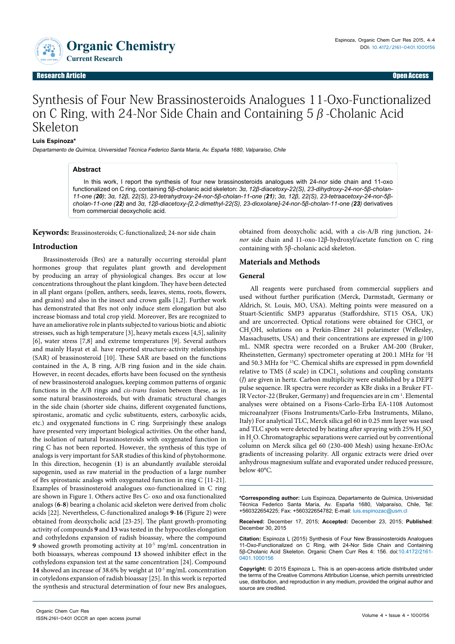Organic Chemistry **ISSN: 2161-0401**

# Synthesis of Four New Brassinosteroids Analogues 11-Oxo-Functionalized on C Ring, with 24-Nor Side Chain and Containing 5β-Cholanic Acid Skeleton

## **Luis Espinoza\***

Departamento de Química, Universidad Técnica Federico Santa María, Av. España 1680, Valparaíso, Chile

## **Abstract**

In this work, I report the synthesis of four new brassinosteroids analogues with 24-*nor* side chain and 11-oxo functionalized on C ring, containing 5β-cholanic acid skeleton: *3α, 12β-diacetoxy-22(S), 23-dihydroxy-24-nor-5β-cholan-11-one (20)*; *3α, 12β, 22(S), 23-tetrahydroxy-24-nor-5β-cholan-11-one (21)*; *3α, 12β, 22(S), 23-tetraacetoxy-24-nor-5βcholan-11-one (22)* and *3α, 12β-diacetoxy-[2,2-dimethyl-22(S), 23-dioxolane]-24-nor-5β-cholan-11-one (23)* derivatives from commercial deoxycholic acid.

**Keywords:** Brassinosteroids; C-functionalized; 24-nor side chain

# **Introduction**

Brassinosteroids (Brs) are a naturally occurring steroidal plant hormones group that regulates plant growth and development by producing an array of physiological changes. Brs occur at low concentrations throughout the plant kingdom. They have been detected in all plant organs (pollen, anthers, seeds, leaves, stems, roots, flowers, and grains) and also in the insect and crown galls [1,2]. Further work has demonstrated that Brs not only induce stem elongation but also increase biomass and total crop yield. Moreover, Brs are recognized to have an ameliorative role in plants subjected to various biotic and abiotic stresses, such as high temperature [3], heavy metals excess [4,5], salinity [6], water stress [7,8] and extreme temperatures [9]. Several authors and mainly Hayat et al. have reported structure-activity relationships (SAR) of brassinosteroid [10]. These SAR are based on the functions contained in the A, B ring, A/B ring fusion and in the side chain. However, in recent decades, efforts have been focused on the synthesis of new brassinosteroid analogues, keeping common patterns of organic functions in the A/B rings and *cis-trans* fusion between these, as in some natural brassinosteroids, but with dramatic structural changes in the side chain (shorter side chains, different oxygenated functions, spirostanic, aromatic and cyclic substituents, esters, carboxylic acids, etc.) and oxygenated functions in C ring. Surprisingly these analogs have presented very important biological activities. On the other hand, the isolation of natural brassinosteroids with oxygenated function in ring C has not been reported. However, the synthesis of this type of analogs is very important for SAR studies of this kind of phytohormone. In this direction, hecogenin (**1**) is an abundantly available steroidal sapogenin, used as raw material in the production of a large number of Brs spirostanic analogs with oxygenated function in ring C [11-21]. Examples of brassinosteroid analogues oxo-functionalized in C ring are shown in Figure 1. Others active Brs C- oxo and oxa functionalized analogs (**6**-**8**) bearing a cholanic acid skeleton were derived from cholic acids [22]. Nevertheless, C-functionalized analogs **9**-**16** (Figure 2) were obtained from deoxycholic acid [23-25]. The plant growth-promoting activity of compounds **9** and **13** was tested in the hypocotiles elongation and cothyledons expansion of radish bioassay, where the compound **9** showed growth promoting activity at 10<sup>-5</sup> mg/mL concentration in both bioassays, whereas compound **13** showed inhibiter effect in the cothyledons expansion test at the same concentration [24]. Compound **14** showed an increase of 38.6% by weight at 10-5 mg/mL concentration in cotyledons expansion of radish bioassay [25]. In this work is reported the synthesis and structural determination of four new Brs analogues,

obtained from deoxycholic acid, with a cis-A/B ring junction, 24 *nor* side chain and 11-oxo-12β-hydroxyl/acetate function on C ring containing with 5β-cholanic acid skeleton.

## **Materials and Methods**

#### **General**

All reagents were purchased from commercial suppliers and used without further purification (Merck, Darmstadt, Germany or Aldrich, St. Louis, MO, USA). Melting points were measured on a Stuart-Scientific SMP3 apparatus (Staffordshire, ST15 OSA, UK) and are uncorrected. Optical rotations were obtained for CHCl<sub>3</sub> or CH<sub>3</sub>OH, solutions on a Perkin-Elmer 241 polarimeter (Wellesley, [Massachusetts](https://en.wikipedia.org/wiki/Wellesley,_Massachusetts), USA) and their concentrations are expressed in g/100 mL. NMR spectra were recorded on a Bruker AM-200 (Bruker, Rheinstetten, Germany) spectrometer operating at 200.1 MHz for <sup>1</sup>H and 50.3 MHz for 13C. Chemical shifts are expressed in ppm downfield relative to TMS ( $\delta$  scale) in CDC1<sub>3</sub> solutions and coupling constants (*J*) are given in hertz. Carbon multiplicity were established by a DEPT pulse sequence. IR spectra were recorder as KBr disks in a Bruker FT-IR Vector-22 (Bruker, Germany) and frequencies are in cm-1. Elemental analyses were obtained on a Fisons-Carlo-Erba EA-1108 Automost microanalyzer (Fisons Instruments/Carlo-Erba Instruments, Milano, Italy) For analytical TLC, Merck silica gel 60 in 0.25 mm layer was used and TLC spots were detected by heating after spraying with 25%  $\rm{H}_{2}SO_{4}$ in  $\rm H_2O.$  Chromatographic separations were carried out by conventional column on Merck silica gel 60 (230-400 Mesh) using hexane-EtOAc gradients of increasing polarity. All organic extracts were dried over anhydrous magnesium sulfate and evaporated under reduced pressure, below 40°C.

**\*Corresponding author:** Luis Espinoza, Departamento de Química, Universidad Técnica Federico Santa María, Av. España 1680, Valparaíso, Chile, Tel: +560322654225; Fax: +560322654782; E-mail: luis.espinozac@usm.cl

**Received:** December 17, 2015; **Accepted:** December 23, 2015; **Published**: December 30, 2015

**Citation:** Espinoza L (2015) Synthesis of Four New Brassinosteroids Analogues 11-Oxo-Functionalized on C Ring, with 24-Nor Side Chain and Containing 5β-Cholanic Acid Skeleton. Organic Chem Curr Res 4: 156. doi:10.4172/2161- 0401.1000156

**Copyright:** © 2015 Espinoza L. This is an open-access article distributed under the terms of the Creative Commons Attribution License, which permits unrestricted use, distribution, and reproduction in any medium, provided the original author and source are credited.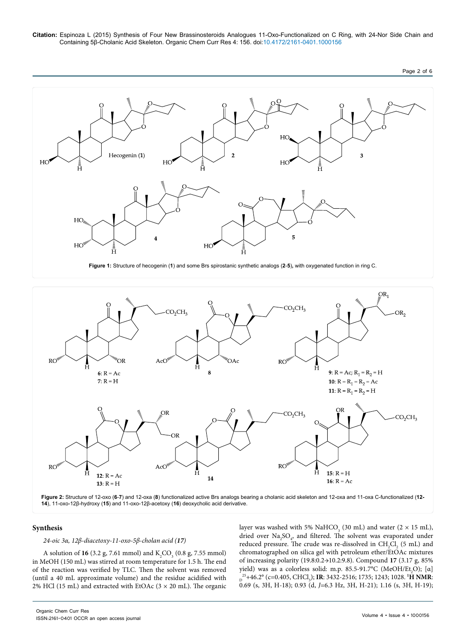

**Figure 1:** Structure of hecogenin (**1**) and some Brs spirostanic synthetic analogs (**2**-**5**)**,** with oxygenated function in ring C.



**Figure 2:** Structure of 12-oxo (**6**-**7**) and 12-oxa (**8**) functionalized active Brs analogs bearing a cholanic acid skeleton and 12-oxa and 11-oxa C-functionalized (**12- 14**), 11-oxo-12β-hydroxy (**15**) and 11-oxo-12β-acetoxy (**16**) deoxycholic acid derivative.

# **Synthesis**

## *24-oic 3α, 12β-diacetoxy-11-oxo-5β-cholan acid (17)*

A solution of **16** (3.2 g, 7.61 mmol) and  $K_2CO_3$  (0.8 g, 7.55 mmol) in MeOH (150 mL) was stirred at room temperature for 1.5 h. The end of the reaction was verified by TLC. Then the solvent was removed (until a 40 mL approximate volume) and the residue acidified with 2% HCl (15 mL) and extracted with EtOAc ( $3 \times 20$  mL). The organic

layer was washed with 5% NaHCO<sub>3</sub> (30 mL) and water (2  $\times$  15 mL), dried over  $\text{Na}_2\text{SO}_4$ , and filtered. The solvent was evaporated under reduced pressure. The crude was re-dissolved in  $\text{CH}_{2}\text{Cl}_{2}$  (5 mL) and chromatographed on silica gel with petroleum ether/EtOAc mixtures of increasing polarity (19.8:0.2→10.2:9.8). Compound **17** (3.17 g, 85% yield) was as a colorless solid: m.p. 85.5-91.7°C (MeOH/Et<sub>2</sub>O); [α] <sub>D</sub><sup>25</sup>+46.2° (c=0.405, CHCl<sub>3</sub>); **IR**: 3432-2516; 1735; 1243; 1028. **<sup>1</sup>H NMR:** 0.69 (s, 3H, H-18); 0.93 (d, *J*=6.3 Hz, 3H, H-21); 1.16 (s, 3H, H-19);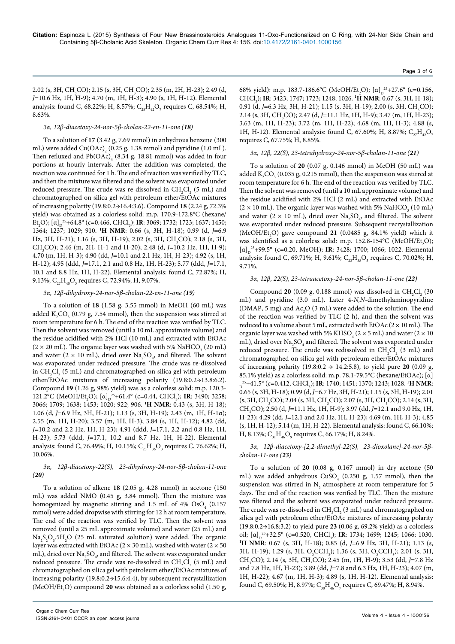2.02 (s, 3H, CH<sub>3</sub>CO); 2.15 (s, 3H, CH<sub>3</sub>CO); 2.35 (m, 2H, H-23); 2.49 (d, *J*=10.6 Hz, 1H, H-9); 4.70 (m, 1H, H-3); 4.90 (s, 1H, H-12). Elemental analysis: found C, 68.22%; H, 8.57%;  $\rm C_{_{28}H_{_{42}O_{_7}}}$  requires C, 68.54%; H, 8.63%.

#### *3α, 12β-diacetoxy-24-nor-5β-cholan-22-en-11-one (18)*

To a solution of **17** (3.42 g, 7.69 mmol) in anhydrous benzene (300 mL) were added  $\text{Cu(OAc)}_{2}$  (0.25 g, 1.38 mmol) and pyridine (1.0 mL). Then refluxed and  $Pb(OAc)_{\overline{4}}$  (8.34 g, 18.81 mmol) was added in four portions at hourly intervals. After the addition was completed, the reaction was continued for 1 h. The end of reaction was verified by TLC, and then the mixture was filtered and the solvent was evaporated under reduced pressure. The crude was re-dissolved in  $\mathrm{CH}_2\mathrm{Cl}_2$  (5 mL) and chromatographed on silica gel with petroleum ether/EtOAc mixtures of increasing polarity (19.8:0.2→16.4:3.6). Compound **18** (2.24 g, 72.3% yield) was obtained as a colorless solid: m.p. 170.9-172.8°C (hexane/  $Et_2O$ );  $[\alpha]_D^{25}+64.8^{\circ}$  (c=0.466, CHCl<sub>3</sub>); **IR**: 3069; 1732; 1723; 1637; 1450; 1364; 1237; 1029; 910. **<sup>1</sup> H NMR**: 0.66 (s, 3H, H-18); 0.99 (d, *J*=6.9 Hz, 3H, H-21); 1.16 (s, 3H, H-19); 2.02 (s, 3H, CH<sub>3</sub>CO); 2.18 (s, 3H, CH3 CO); 2.46 (m, 2H, H-1 and H-20); 2.48 (d, *J*=10.2 Hz, 1H, H-9); 4.70 (m, 1H, H-3); 4.90 (dd, *J*=10.1 and 2.1 Hz, 1H, H-23); 4.92 (s, 1H, H-12); 4.95 (ddd, *J*=17.1, 2.1 and 0.8 Hz, 1H, H-23); 5.77 (ddd, *J*=17.1, 10.1 and 8.8 Hz, 1H, H-22). Elemental analysis: found C, 72.87%; H, 9.13%;  $\rm C_{27}H_{40}O_{5}$  requires C, 72.94%; H, 9.07%.

#### *3α, 12β-dihydroxy-24-nor-5β-cholan-22-en-11-one (19)*

To a solution of **18** (1.58 g, 3.55 mmol) in MeOH (60 mL) was added  $K_2CO_3$  (0.79 g, 7.54 mmol), then the suspension was stirred at room temperature for 6 h. The end of the reaction was verified by TLC. Then the solvent was removed (until a 10 mL approximate volume) and the residue acidified with 2% HCl (10 mL) and extracted with EtOAc (2  $\times$  20 mL). The organic layer was washed with 5% NaHCO<sub>3</sub> (20 mL) and water (2  $\times$  10 mL), dried over Na<sub>2</sub>SO<sub>4</sub>, and filtered. The solvent was evaporated under reduced pressure. The crude was re-dissolved in  $\text{CH}_{2}\text{Cl}_{2}$  (5 mL) and chromatographed on silica gel with petroleum ether/EtOAc mixtures of increasing polarity (19.8:0.2→13.8:6.2). Compound **19** (1.26 g, 98% yield) was as a colorless solid: m.p. 120.3- 121.2°C (MeOH/Et<sub>2</sub>O);  $[\alpha]_D^{25}+61.4^\circ$  (c=0.44, CHCl<sub>3</sub>); **IR**: 3490; 3258; 3066; 1709; 1638; 1453; 1020; 922; 906. **<sup>1</sup> H NMR**: 0.43 (s, 3H, H-18); 1.06 (d, *J*=6.9 Hz, 3H, H-21); 1.13 (s, 3H, H-19); 2.43 (m, 1H, H-1α); 2.55 (m, 1H, H-20); 3.57 (m, 1H, H-3); 3.84 (s, 1H, H-12); 4.82 (dd, *J*=10.2 and 2.2 Hz, 1H, H-23); 4.91 (ddd, *J*=17.1, 2.2 and 0.8 Hz, 1H, H-23); 5.73 (ddd, *J*=17.1, 10.2 and 8.7 Hz, 1H, H-22). Elemental analysis: found C, 76.49%; H, 10.15%;  $C_{23}H_{36}O_3$  requires C, 76.62%; H, 10.06%.

#### *3α, 12β-diacetoxy-22(S), 23-dihydroxy-24-nor-5β-cholan-11-one (20)*

To a solution of alkene **18** (2.05 g, 4.28 mmol) in acetone (150 mL) was added NMO (0.45 g, 3.84 mmol). Then the mixture was homogenized by magnetic stirring and  $1.5$  mL of  $4\%$  OsO<sub>4</sub> (0.157) mmol) were added dropwise with stirring for 12 h at room temperature. The end of the reaction was verified by TLC. Then the solvent was removed (until a 25 mL approximate volume) and water (25 mL) and  $\text{Na}_2\text{S}_2\text{O}_3$ .5H<sub>2</sub>O (25 mL saturated solution) were added. The organic layer was extracted with EtOAc ( $2 \times 30$  mL), washed with water ( $2 \times 50$ mL), dried over  ${\rm Na}_2 {\rm SO}_4$ , and filtered. The solvent was evaporated under reduced pressure. The crude was re-dissolved in  $\mathrm{CH}_2\mathrm{Cl}_2$  (5 mL) and chromatographed on silica gel with petroleum ether/EtOAc mixtures of increasing polarity (19.8:0.2→15.6:4.4), by subsequent recrystallization (MeOH/Et<sub>2</sub>O) compound **20** was obtained as a colorless solid (1.50 g,

68% yield): m.p. 183.7-186.6°C (MeOH/Et<sub>2</sub>O);  $[\alpha]_D^{25}+27.6$ ° (c=0.156, CHCl3 ); **IR**: 3423; 1747; 1723; 1248; 1026. **<sup>1</sup> H NMR**: 0.67 (s, 3H, H-18); 0.91 (d, J=6.3 Hz, 3H, H-21); 1.15 (s, 3H, H-19); 2.00 (s, 3H, CH<sub>3</sub>CO); 2.14 (s, 3H, CH<sub>3</sub>CO); 2.47 (d, *J*=11.1 Hz, 1H, H-9); 3.47 (m, 1H, H-23); 3.63 (m, 1H, H-23); 3.72 (m, 1H, H-22); 4.68 (m, 1H, H-3); 4.88 (s, 1H, H-12). Elemental analysis: found C, 67.60%; H, 8.87%; C<sub>27</sub>H<sub>42</sub>O<sub>7</sub> requires C, 67.75%; H, 8.85%.

#### *3α, 12β, 22(S), 23-tetrahydroxy-24-nor-5β-cholan-11-one (21)*

To a solution of **20** (0.07 g, 0.146 mmol) in MeOH (50 mL) was added  $K_2CO_3$  (0.035 g, 0.215 mmol), then the suspension was stirred at room temperature for 6 h. The end of the reaction was verified by TLC. Then the solvent was removed (until a 10 mL approximate volume) and the residue acidified with 2% HCl (2 mL) and extracted with EtOAc (2  $\times$  10 mL). The organic layer was washed with 5% NaHCO<sub>3</sub> (10 mL) and water ( $2 \times 10$  mL), dried over  $\text{Na}_2\text{SO}_4$ , and filtered. The solvent was evaporated under reduced pressure. Subsequent recrystallization  $(MeOH/Et<sub>2</sub>O)$  gave compound 21  $(0.0485 g, 84.1\%)$  yield) which it was identified as a colorless solid: m.p.  $152.8 \text{--} 154^{\circ}\text{C}$  (MeOH/Et<sub>2</sub>O); [α]<sub>D</sub><sup>25</sup>+99.5° (c=0.20, MeOH); **IR**: 3428; 1700; 1066; 1022. Elemental analysis: found C, 69.71%; H, 9.61%;  $C_{23}H_{38}O_5$  requires C, 70.02%; H, 9.71%.

#### *3α, 12β, 22(S), 23-tetraacetoxy-24-nor-5β-cholan-11-one (22)*

Compound 20 (0.09 g, 0.188 mmol) was dissolved in  $CH_2Cl_2$  (30 mL) and pyridine (3.0 mL). Later 4-*N,N*-dimethylaminopyridine (DMAP, 5 mg) and  $Ac_2O$  (3 mL) were added to the solution. The end of the reaction was verified by TLC (2 h), and then the solvent was reduced to a volume about 5 mL, extracted with EtOAc  $(2 \times 10 \text{ mL})$ . The organic layer was washed with 5% KHSO<sub>4</sub> (2  $\times$  5 mL) and water (2  $\times$  10 mL), dried over  $\rm Na_{2}SO_{4}$  and filtered. The solvent was evaporated under reduced pressure. The crude was redissolved in  $CH_2Cl_2$  (3 mL) and chromatographed on silica gel with petroleum ether/EtOAc mixtures of increasing polarity (19.8:0.2  $\rightarrow$  14.2:5.8), to yield pure **20** (0.09 g, 85.1% yield) as a colorless solid: m.p. 78.1-79.5°C (hexane/EtOAc); [α]  $D^{25}+41.5^{\circ}$  (c=0.412, CHCl<sub>3</sub>); **IR**: 1740; 1451; 1370; 1243; 1028. **<sup>1</sup>H NMR:** 0.65 (s, 3H, H-18); 0.99 (d, *J*=6.7 Hz, 3H, H-21); 1.15 (s, 3H, H-19); 2.01  $(s, 3H, CH<sub>3</sub>CO)$ ; 2.04  $(s, 3H, CH<sub>3</sub>CO)$ ; 2.07  $(s, 3H, CH<sub>3</sub>CO)$ ; 2.14  $(s, 3H,$ CH3 CO); 2.50 (d, *J*=11.1 Hz, 1H, H-9); 3.97 (dd, *J*=12.1 and 9.0 Hz, 1H, H-23); 4.29 (dd, *J*=12.1 and 2.0 Hz, 1H, H-23); 4.69 (m, 1H, H-3); 4.85 (s, 1H, H-12); 5.14 (m, 1H, H-22). Elemental analysis: found C, 66.10%; H, 8.13%;  $C_{31}H_{46}O_9$  requires C, 66.17%; H, 8.24%.

*3α, 12β-diacetoxy-[2,2-dimethyl-22(S), 23-dioxolane]-24-nor-5βcholan-11-one (23)*

To a solution of **20** (0.08 g, 0.167 mmol) in dry acetone (50 mL) was added anhydrous  $CuSO<sub>4</sub>$  (0.250 g, 1.57 mmol), then the suspension was stirred in  $N_2$  atmosphere at room temperature for 5 days. The end of the reaction was verified by TLC. Then the mixture was filtered and the solvent was evaporated under reduced pressure. The crude was re-dissolved in  $\mathrm{CH_2Cl_2}$  (3 mL) and chromatographed on silica gel with petroleum ether/EtOAc mixtures of increasing polarity (19.8:0.2→16.8:3.2) to yield pure **23** (0.06 g, 69.2% yield) as a colorless oil;  $[\alpha]_D^{25}+32.5^\circ$  (c=0.520, CHCl<sub>3</sub>); **IR**: 1734; 1699; 1245; 1066; 1030. **1 H NMR**: 0.67 (s, 3H, H-18); 0.85 (d, *J*=6.9 Hz, 3H, H-21); 1.13 (s, 3H, H-19); 1.29 (s, 3H, O<sub>2</sub>CCH<sub>3</sub>); 1.36 (s, 3H, O<sub>2</sub>CCH<sub>3</sub>); 2.01 (s, 3H, CH<sub>3</sub>CO); 2.14 (s, 3H, CH<sub>3</sub>CO); 2.45 (m, 1H, H-9); 3.53 (dd, J=7.8 Hz and 7.8 Hz, 1H, H-23); 3.89 (dd, *J*=7.8 and 6.3 Hz, 1H, H-23); 4.07 (m, 1H, H-22); 4.67 (m, 1H, H-3); 4.89 (s, 1H, H-12). Elemental analysis: found C, 69.50%; H, 8.97%;  $C_{30}H_{46}O_7$  requires C, 69.47%; H, 8.94%.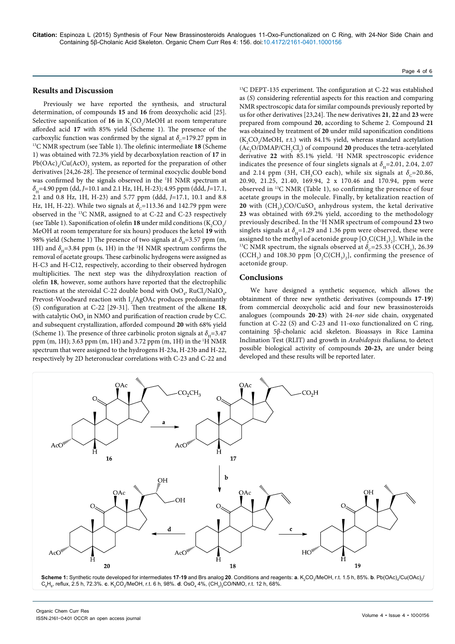## **Results and Discussion**

Previously we have reported the synthesis, and structural determination, of compounds **15** and **16** from deoxycholic acid [25]. Selective saponification of  $16$  in  $K_2CO_3/MeOH$  at room temperature afforded acid **17** with 85% yield (Scheme 1). The presence of the carboxylic function was confirmed by the signal at  $\delta_c$ =179.27 ppm in <sup>13</sup>C NMR spectrum (see Table 1). The olefinic intermediate **18** (Scheme 1) was obtained with 72.3% yield by decarboxylation reaction of **17** in  $Pb(OAc)<sub>4</sub>/Cu(AcO)<sub>2</sub>$  system, as reported for the preparation of other derivatives [24,26-28]. The presence of terminal exocyclic double bond was confirmed by the signals observed in the 1 H NMR spectrum at *δ*H=4.90 ppm (dd, *J*=10.1 and 2.1 Hz, 1H, H-23); 4.95 ppm (ddd, *J*=17.1, 2.1 and 0.8 Hz, 1H, H-23) and 5.77 ppm (ddd, *J*=17.1, 10.1 and 8.8 Hz, 1H, H-22). While two signals at  $\delta_c$ =113.36 and 142.79 ppm were observed in the 13C NMR, assigned to at C-22 and C-23 respectively (see Table 1). Saponification of olefin **18** under mild conditions ( $K_2CO_3/$ MeOH at room temperature for six hours) produces the ketol **19** with 98% yield (Scheme 1) The presence of two signals at  $\delta_{\mu}$ =3.57 ppm (m, 1H) and  $\delta_{\text{H}}$ =3.84 ppm (s, 1H) in the <sup>1</sup>H NMR spectrum confirms the removal of acetate groups. These carbinolic hydrogens were assigned as H-C3 and H-C12, respectively, according to their observed hydrogen multiplicities. The next step was the dihydroxylation reaction of olefin **18**, however, some authors have reported that the electrophilic reactions at the steroidal C-22 double bond with  $\text{OsO}_4$ , RuCl<sub>3</sub>/NaIO<sub>4</sub>, Prevost-Woodward reaction with  $I_2/AgOAc$  produces predominantly (*S*) configuration at C-22 [29-31]. Then treatment of the alkene **18**, with catalytic  $\mathrm{OsO}_4$  in NMO and purification of reaction crude by C.C. and subsequent crystallization, afforded compound **20** with 68% yield (Scheme 1). The presence of three carbinolic proton signals at  $\delta_{\text{H}}$ =3.47 ppm (m, 1H); 3.63 ppm (m, 1H) and 3.72 ppm (m, 1H) in the 1 H NMR spectrum that were assigned to the hydrogens H-23a, H-23b and H-22, respectively by 2D heteronuclear correlations with C-23 and C-22 and

13C DEPT-135 experiment. The configuration at C-22 was established as (*S*) considering referential aspects for this reaction and comparing NMR spectroscopic data for similar compounds previously reported by us for other derivatives [23,24]. The new derivatives **21**, **22** and **23** were prepared from compound **20**, according to Scheme 2. Compound **21** was obtained by treatment of **20** under mild saponification conditions  $(K_2CO_3/MeOH, r.t.)$  with 84.1% yield, whereas standard acetylation  $(Ac_2O/DMAP/CH_2Cl_2)$  of compound **20** produces the tetra-acetylated derivative 22 with 85.1% yield. <sup>1</sup>H NMR spectroscopic evidence indicates the presence of four singlets signals at  $\delta$ <sub>u</sub>=2.01, 2.04, 2.07 and 2.14 ppm (3H, CH<sub>3</sub>CO each), while six signals at  $\delta_c$ =20.86, 20.90, 21.25, 21.40, 169.94, 2 x 170.46 and 170.94, ppm were observed in 13C NMR (Table 1), so confirming the presence of four acetate groups in the molecule. Finally, by ketalization reaction of **20** with  $\left(\text{CH}_3\right)_2$ CO/CuSO<sub>4</sub> anhydrous system, the ketal derivative **23** was obtained with 69.2% yield, according to the methodology previously described. In the 1 H NMR spectrum of compound **23** two singlets signals at  $\delta$ <sub>u</sub>=1.29 and 1.36 ppm were observed, these were assigned to the methyl of acetonide group  $[O_2C(CH_3)_2]$ assigned to the methyl of acetonide group  $[O_2C(CH_3)_2]$ . While in the <sup>13</sup>C NMR spectrum, the signals observed at  $\delta_c$ =25.33 (CCH<sub>3</sub>), 26.39 (CCH<sub>3</sub>) and 108.30 ppm  $[O_2C(CH_3)_2]$ , confirming the presence of acetonide group.

## **Conclusions**

We have designed a synthetic sequence, which allows the obtainment of three new synthetic derivatives (compounds **17**-**19**) from commercial deoxycholic acid and four new brassinosteroids analogues (compounds **20**-**23**) with 24-*nor* side chain, oxygenated function at C-22 (*S*) and C-23 and 11-oxo functionalized on C ring, containing 5β-cholanic acid skeleton. Bioassays in Rice Lamina Inclination Test (RLIT) and growth in *Arabidopsis thaliana*, to detect possible biological activity of compounds **20-23,** are under being developed and these results will be reported later.

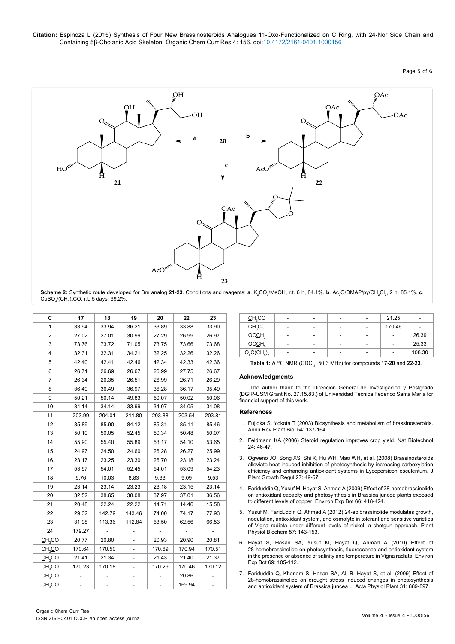

 ${\sf Scheme~2:}$  Synthetic route developed for Brs analog **21-23**. Conditions and reagents: **a**. K<sub>2</sub>CO<sub>3</sub>/MeOH, r.t. 6 h, 84.1%.  ${\bf b}$ . Ac $_2$ O/DMAP/py/CH<sub>2</sub>Cl<sub>2</sub>, 2 h, 85.1%. **c**.  $\textsf{CuSO}_4\textsf{/}\textsf{(CH}_3\textsf{)}_2\textsf{CO},$  r.t. 5 days, 69.2%.

| С                     | 17     | 18     | 19     | 20             | 22     | 23             |
|-----------------------|--------|--------|--------|----------------|--------|----------------|
| 1                     | 33.94  | 33.94  | 36.21  | 33.89          | 33.88  | 33.90          |
| $\overline{2}$        | 27.02  | 27.01  | 30.99  | 27.29          | 26.99  | 26.97          |
| 3                     | 73.76  | 73.72  | 71.05  | 73.75          | 73.66  | 73.68          |
| 4                     | 32.31  | 32.31  | 34.21  | 32.25          | 32.26  | 32.26          |
| 5                     | 42.40  | 42.41  | 42.46  | 42.34          | 42.33  | 42.36          |
| 6                     | 26.71  | 26.69  | 26.67  | 26.99          | 27.75  | 26.67          |
| $\overline{7}$        | 26.34  | 26.35  | 26.51  | 26.99          | 26.71  | 26.29          |
| 8                     | 36.40  | 36.49  | 36.97  | 36.28          | 36.17  | 35.49          |
| 9                     | 50.21  | 50.14  | 49.83  | 50.07          | 50.02  | 50.06          |
| 10                    | 34.14  | 34.14  | 33.99  | 34.07          | 34.05  | 34.08          |
| 11                    | 203.99 | 204.01 | 211.80 | 203.88         | 203.54 | 203.81         |
| 12                    | 85.89  | 85.90  | 84.12  | 85.31          | 85.11  | 85.46          |
| 13                    | 50.10  | 50.05  | 52.45  | 50.34          | 50.48  | 50.07          |
| 14                    | 55.90  | 55.40  | 55.89  | 53.17          | 54.10  | 53.65          |
| 15                    | 24.97  | 24.50  | 24.60  | 26.28          | 26.27  | 25.99          |
| 16                    | 23.17  | 23.25  | 23.30  | 26.70          | 23.18  | 23.24          |
| 17                    | 53.97  | 54.01  | 52.45  | 54.01          | 53.09  | 54.23          |
| 18                    | 9.76   | 10.03  | 8.83   | 9.33           | 9.09   | 9.53           |
| 19                    | 23.14  | 23.14  | 23.23  | 23.18          | 23.15  | 23.14          |
| 20                    | 32.52  | 38.65  | 38.08  | 37.97          | 37.01  | 36.56          |
| 21                    | 20.48  | 22.24  | 22.22  | 14.71          | 14.46  | 15.58          |
| 22                    | 29.32  | 142.79 | 143.46 | 74.00          | 74.17  | 77.93          |
| 23                    | 31.98  | 113.36 | 112.84 | 63.50          | 62.56  | 66.53          |
| 24                    | 179.27 |        |        |                |        |                |
| CH <sub>3</sub> CO    | 20.77  | 20.80  |        | 20.93          | 20.90  | 20.81          |
| CH <sub>3</sub> CO    | 170.64 | 170.50 |        | 170.69         | 170.94 | 170.51         |
| CH <sub>3</sub> CO    | 21.41  | 21.34  |        | 21.43          | 21.40  | 21.37          |
| CH <sub>3</sub> CO    | 170.23 | 170.18 |        | 170.29         | 170.46 | 170.12         |
| $C$ H <sub>3</sub> CO |        |        | -      | $\overline{a}$ | 20.86  | $\overline{a}$ |
| CH <sub>3</sub> CO    |        |        |        |                | 169.94 |                |

| CH <sub>3</sub> CO |                          | $\qquad \qquad \blacksquare$ | $\qquad \qquad \blacksquare$ | $\overline{\phantom{a}}$ | 21.25                        | ۰      |
|--------------------|--------------------------|------------------------------|------------------------------|--------------------------|------------------------------|--------|
| CH <sub>3</sub> CO |                          |                              | $\overline{\phantom{a}}$     | $\overline{\phantom{a}}$ | 170.46                       |        |
| OCCH <sub>3</sub>  | $\overline{\phantom{a}}$ | $\qquad \qquad \blacksquare$ | $\overline{\phantom{a}}$     | $\overline{\phantom{a}}$ | $\qquad \qquad \blacksquare$ | 26.39  |
| OCCH <sub>3</sub>  | ۰.                       | $\qquad \qquad \blacksquare$ | $\overline{\phantom{a}}$     | $\overline{\phantom{a}}$ | $\overline{\phantom{a}}$     | 25.33  |
| $O_2C(CH_3)_2$     | $\overline{\phantom{a}}$ | $\qquad \qquad \blacksquare$ | $\overline{\phantom{a}}$     | ٠                        | ۰                            | 108.30 |

**Table 1:** *δ*<sup>13</sup>C NMR (CDCI<sub>3</sub>, 50.3 MHz) for compounds **17-20** and **22-23**.

#### **Acknowledgments**

The author thank to the Dirección General de Investigación y Postgrado (DGIP-USM Grant No. 27.15.83.) of Universidad Técnica Federico Santa María for financial support of this work.

#### **References**

- 1. [Fujioka S, Yokota T \(2003\) Biosynthesis and metabolism of brassinosteroids.](http://www.ncbi.nlm.nih.gov/pubmed/14502988)  [Annu Rev Plant Biol 54: 137-164.](http://www.ncbi.nlm.nih.gov/pubmed/14502988)
- 2. [Feldmann KA \(2006\) Steroid regulation improves crop yield. Nat Biotechnol](http://www.ncbi.nlm.nih.gov/pubmed/16404394)  [24: 46-47.](http://www.ncbi.nlm.nih.gov/pubmed/16404394)
- 3. [Ogweno JO, Song XS, Shi K, Hu WH, Mao WH, et al. \(2008\) Brassinosteroids](http://link.springer.com/article/10.1007%2Fs00344-007-9030-7)  [alleviate heat-induced inhibition of photosynthesis by increasing carboxylation](http://link.springer.com/article/10.1007%2Fs00344-007-9030-7)  [efficiency and enhancing antioxidant systems in Lycopersicon esculentum. J](http://link.springer.com/article/10.1007%2Fs00344-007-9030-7)  [Plant Growth Regul 27: 49-57.](http://link.springer.com/article/10.1007%2Fs00344-007-9030-7)
- 4. [Fariduddin Q, Yusuf M, Hayat S, Ahmad A \(2009\) Effect of 28-homobrassinolide](http://www.sciencedirect.com/science/article/pii/S0098847209000884)  [on antioxidant capacity and photosynthesis in Brassica juncea plants exposed](http://www.sciencedirect.com/science/article/pii/S0098847209000884)  [to different levels of copper. Environ Exp Bot 66: 418-424.](http://www.sciencedirect.com/science/article/pii/S0098847209000884)
- 5. [Yusuf M, Fariduddin Q, Ahmad A \(2012\) 24-epibrassinolide modulates growth,](http://www.ncbi.nlm.nih.gov/pubmed/22705589)  [nodulation, antioxidant system, and osmolyte in tolerant and sensitive varieties](http://www.ncbi.nlm.nih.gov/pubmed/22705589)  [of Vigna radiata under different levels of nickel: a shotgun approach. Plant](http://www.ncbi.nlm.nih.gov/pubmed/22705589)  [Physiol Biochem 57: 143-153.](http://www.ncbi.nlm.nih.gov/pubmed/22705589)
- 6. [Hayat S, Hasan SA, Yusuf M, Hayat Q, Ahmad A \(2010\) Effect of](http://www.sciencedirect.com/science/article/pii/S0098847210000560)  [28-homobrassinolide on photosynthesis, fluorescence and antioxidant system](http://www.sciencedirect.com/science/article/pii/S0098847210000560)  [in the presence or absence of salinity and temperature in Vigna radiata. Environ](http://www.sciencedirect.com/science/article/pii/S0098847210000560)  [Exp Bot 69: 105-112.](http://www.sciencedirect.com/science/article/pii/S0098847210000560)
- 7. [Fariduddin Q, Khanam S, Hasan SA, Ali B, Hayat S, et al. \(2009\) Effect of](http://link.springer.com/article/10.1007%2Fs11738-009-0302-7)  [28-homobrassinolide on drought stress induced changes in photosynthesis](http://link.springer.com/article/10.1007%2Fs11738-009-0302-7)  [and antioxidant system of Brassica juncea L. Acta Physiol Plant 31: 889-897.](http://link.springer.com/article/10.1007%2Fs11738-009-0302-7)